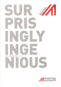

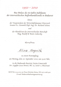### $1950 - 2010$

# Aus Anlass des 60-Jahre Jubiläums der österreichischen Außenhandelsstelle in Bukarest

bitten

der Vizepräsident der Wirtschaftskammer Österreich Senator h.c. KommR Dipl.-Ing. Dr. Richard Schenz

und

der Handelsrat der österreichischen Botschaft Mag. Rudolf & Beate Lukavsky

Herrn/Frau

Alina Negrila

zu einem Festempfang am Montag, dem 20. September 2010, um 19.00 Uhr,

in die Ambasada Austriei, Secția Comercială Str. Logofat Luca Stroici, No. 15, sector 2, București

RSVP bis 15.9.2010 an Frau Christine Stoica, Tel: 0372-068 900 E-mail: Bukarest@advantageaustria.org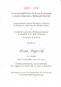## $1950 - 2010$

Cu ocazia împlinirii a 60 de ani de existență a Secției Comerciale a Ambasadei Austriei

Vicepreședintele Camerei Economice a Austriei dl. Senator h.c. Dipl. Ing. Dr. Richard Schenz

şí

Consilierul Comercial al Ambasadei Austriei dl. Rudolf & d-na. Beate Lukavsky

au onoarea să invite pe

 $D$ l./ $D$ -na.

Alina Negrila

la o recepție luni, 20 septembrie 2010, ora 19.00,

la Ambasada Austriei, Secția Comercială Str. Logofat Luca Stroici, No. 15, sector 2, București.

RSVP până pe 15.9.2010 d-nei Christine Stoica, Tel: 0372-068 900 E-mail: Bukarest@advantageaustria.org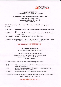

#### TAG DER OFFENEN TUR 21 . September 2010 - 10:00 bis 17:00 Uhr

#### PRÄSENTATION DER ÖSTERREICHISCHEN WIRTSCHAFT

Außenhandelsstelle Bukarest Logofat Luca Stroici 15, sector 2 T 0372-068 900

Ein vielfältiges Angebot der österr. Industrie, der Dienstleistungen, des Handels

10:00 Uhr Advantage Austria - Die AuRenhandetsstelte Bukarest stellt sich vor 14:00 Uhr Cisterreich Werbung - Ein Land, das zu leben versteht, das muss Osterreich sein 10-17:00 Uhr diverse Firmenpräsentationen aller Branchen

Vorträge, Informationsstände, Kaffee, Kuchen, Brötchen und Getränke werden<br>Sie auf Ihrer Reise durch Österreich begleiten.

#### WIR FREUEN UNS AUF IHREN BESUCH !

#### zluA PoRTILoR DESCHISE 21 Septembrie 2010, orete 10:00-17:00

#### PREZENTAREA ECONOMIEI AUSTRIECE

Biroul Comercial al Ambasadei Austriei la București Str. Logofăt Luca Stroici Nr. 15, Sector 2 Tet: 0372 068 900

O ofertă variată a industriei, serviciilor și comertului austriac

- 10:00 Advantage Austria Secția Comerciala al Ambasadei Austriei la Bucuresti se prezintă 14:00 Oficiul National de Turism al Austriei - O tară care știe să trăiască, Austria cu siguranță
- 10-17:00 Prezentări diverse ale firmelor din toate domeniile

Prezentări, standuri de informare, cafea, prăjituri, cornuri și băuturi vă vor însoti în excursia Dvs. în Austria.

NE BUCURĂM DE VIZITA DVS. !